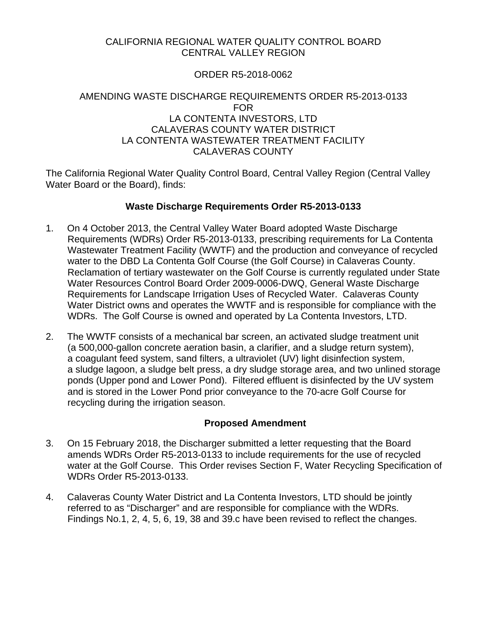# CALIFORNIA REGIONAL WATER QUALITY CONTROL BOARD CENTRAL VALLEY REGION

# ORDER R5-2018-0062

# AMENDING WASTE DISCHARGE REQUIREMENTS ORDER R5-2013-0133 FOR LA CONTENTA INVESTORS, LTD CALAVERAS COUNTY WATER DISTRICT LA CONTENTA WASTEWATER TREATMENT FACILITY CALAVERAS COUNTY

The California Regional Water Quality Control Board, Central Valley Region (Central Valley Water Board or the Board), finds:

# **Waste Discharge Requirements Order R5-2013-0133**

- 1. On 4 October 2013, the Central Valley Water Board adopted Waste Discharge Requirements (WDRs) Order R5-2013-0133, prescribing requirements for La Contenta Wastewater Treatment Facility (WWTF) and the production and conveyance of recycled water to the DBD La Contenta Golf Course (the Golf Course) in Calaveras County. Reclamation of tertiary wastewater on the Golf Course is currently regulated under State Water Resources Control Board Order 2009-0006-DWQ, General Waste Discharge Requirements for Landscape Irrigation Uses of Recycled Water. Calaveras County Water District owns and operates the WWTF and is responsible for compliance with the WDRs. The Golf Course is owned and operated by La Contenta Investors, LTD.
- 2. The WWTF consists of a mechanical bar screen, an activated sludge treatment unit (a 500,000-gallon concrete aeration basin, a clarifier, and a sludge return system), a coagulant feed system, sand filters, a ultraviolet (UV) light disinfection system, a sludge lagoon, a sludge belt press, a dry sludge storage area, and two unlined storage ponds (Upper pond and Lower Pond). Filtered effluent is disinfected by the UV system and is stored in the Lower Pond prior conveyance to the 70-acre Golf Course for recycling during the irrigation season.

# **Proposed Amendment**

- 3. On 15 February 2018, the Discharger submitted a letter requesting that the Board amends WDRs Order R5-2013-0133 to include requirements for the use of recycled water at the Golf Course. This Order revises Section F, Water Recycling Specification of WDRs Order R5-2013-0133.
- 4. Calaveras County Water District and La Contenta Investors, LTD should be jointly referred to as "Discharger" and are responsible for compliance with the WDRs. Findings No.1, 2, 4, 5, 6, 19, 38 and 39.c have been revised to reflect the changes.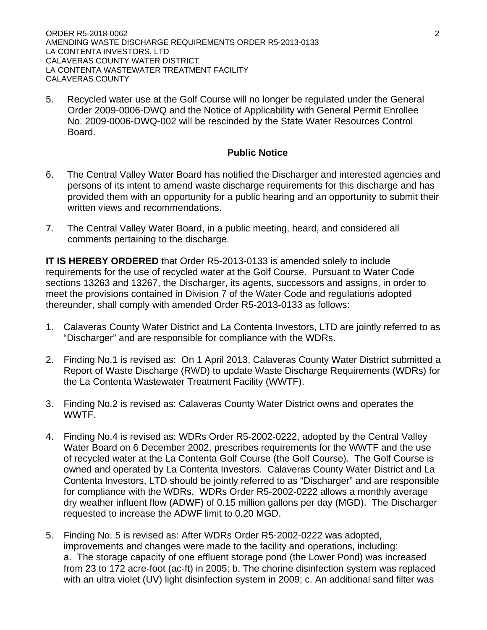ORDER R5-2018-0062 2 AMENDING WASTE DISCHARGE REQUIREMENTS ORDER R5-2013-0133 LA CONTENTA INVESTORS, LTD CALAVERAS COUNTY WATER DISTRICT LA CONTENTA WASTEWATER TREATMENT FACILITY CALAVERAS COUNTY

5. Recycled water use at the Golf Course will no longer be regulated under the General Order 2009-0006-DWQ and the Notice of Applicability with General Permit Enrollee No. 2009-0006-DWQ-002 will be rescinded by the State Water Resources Control Board.

### **Public Notice**

- 6. The Central Valley Water Board has notified the Discharger and interested agencies and persons of its intent to amend waste discharge requirements for this discharge and has provided them with an opportunity for a public hearing and an opportunity to submit their written views and recommendations.
- 7. The Central Valley Water Board, in a public meeting, heard, and considered all comments pertaining to the discharge.

**IT IS HEREBY ORDERED** that Order R5-2013-0133 is amended solely to include requirements for the use of recycled water at the Golf Course. Pursuant to Water Code sections 13263 and 13267, the Discharger, its agents, successors and assigns, in order to meet the provisions contained in Division 7 of the Water Code and regulations adopted thereunder, shall comply with amended Order R5-2013-0133 as follows:

- 1. Calaveras County Water District and La Contenta Investors, LTD are jointly referred to as "Discharger" and are responsible for compliance with the WDRs.
- 2. Finding No.1 is revised as: On 1 April 2013, Calaveras County Water District submitted a Report of Waste Discharge (RWD) to update Waste Discharge Requirements (WDRs) for the La Contenta Wastewater Treatment Facility (WWTF).
- 3. Finding No.2 is revised as: Calaveras County Water District owns and operates the WWTF.
- 4. Finding No.4 is revised as: WDRs Order R5-2002-0222, adopted by the Central Valley Water Board on 6 December 2002, prescribes requirements for the WWTF and the use of recycled water at the La Contenta Golf Course (the Golf Course). The Golf Course is owned and operated by La Contenta Investors. Calaveras County Water District and La Contenta Investors, LTD should be jointly referred to as "Discharger" and are responsible for compliance with the WDRs. WDRs Order R5-2002-0222 allows a monthly average dry weather influent flow (ADWF) of 0.15 million gallons per day (MGD). The Discharger requested to increase the ADWF limit to 0.20 MGD.
- 5. Finding No. 5 is revised as: After WDRs Order R5-2002-0222 was adopted, improvements and changes were made to the facility and operations, including: a. The storage capacity of one effluent storage pond (the Lower Pond) was increased from 23 to 172 acre-foot (ac-ft) in 2005; b. The chorine disinfection system was replaced with an ultra violet (UV) light disinfection system in 2009; c. An additional sand filter was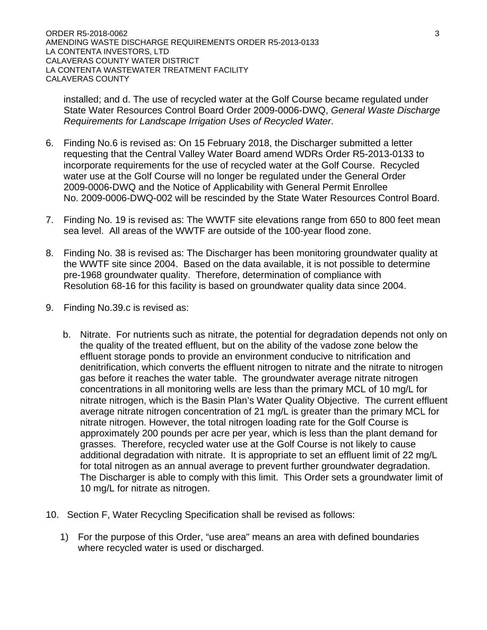ORDER R5-2018-0062 3 AMENDING WASTE DISCHARGE REQUIREMENTS ORDER R5-2013-0133 LA CONTENTA INVESTORS, LTD CALAVERAS COUNTY WATER DISTRICT LA CONTENTA WASTEWATER TREATMENT FACILITY CALAVERAS COUNTY

installed; and d. The use of recycled water at the Golf Course became regulated under State Water Resources Control Board Order 2009-0006-DWQ, *General Waste Discharge Requirements for Landscape Irrigation Uses of Recycled Water*.

- 6. Finding No.6 is revised as: On 15 February 2018, the Discharger submitted a letter requesting that the Central Valley Water Board amend WDRs Order R5-2013-0133 to incorporate requirements for the use of recycled water at the Golf Course. Recycled water use at the Golf Course will no longer be regulated under the General Order 2009-0006-DWQ and the Notice of Applicability with General Permit Enrollee No. 2009-0006-DWQ-002 will be rescinded by the State Water Resources Control Board.
- 7. Finding No. 19 is revised as: The WWTF site elevations range from 650 to 800 feet mean sea level. All areas of the WWTF are outside of the 100-year flood zone.
- 8. Finding No. 38 is revised as: The Discharger has been monitoring groundwater quality at the WWTF site since 2004. Based on the data available, it is not possible to determine pre-1968 groundwater quality. Therefore, determination of compliance with Resolution 68-16 for this facility is based on groundwater quality data since 2004.
- 9. Finding No.39.c is revised as:
	- b. Nitrate. For nutrients such as nitrate, the potential for degradation depends not only on the quality of the treated effluent, but on the ability of the vadose zone below the effluent storage ponds to provide an environment conducive to nitrification and denitrification, which converts the effluent nitrogen to nitrate and the nitrate to nitrogen gas before it reaches the water table. The groundwater average nitrate nitrogen concentrations in all monitoring wells are less than the primary MCL of 10 mg/L for nitrate nitrogen, which is the Basin Plan's Water Quality Objective. The current effluent average nitrate nitrogen concentration of 21 mg/L is greater than the primary MCL for nitrate nitrogen. However, the total nitrogen loading rate for the Golf Course is approximately 200 pounds per acre per year, which is less than the plant demand for grasses. Therefore, recycled water use at the Golf Course is not likely to cause additional degradation with nitrate. It is appropriate to set an effluent limit of 22 mg/L for total nitrogen as an annual average to prevent further groundwater degradation. The Discharger is able to comply with this limit. This Order sets a groundwater limit of 10 mg/L for nitrate as nitrogen.
- 10. Section F, Water Recycling Specification shall be revised as follows:
	- 1) For the purpose of this Order, "use area" means an area with defined boundaries where recycled water is used or discharged.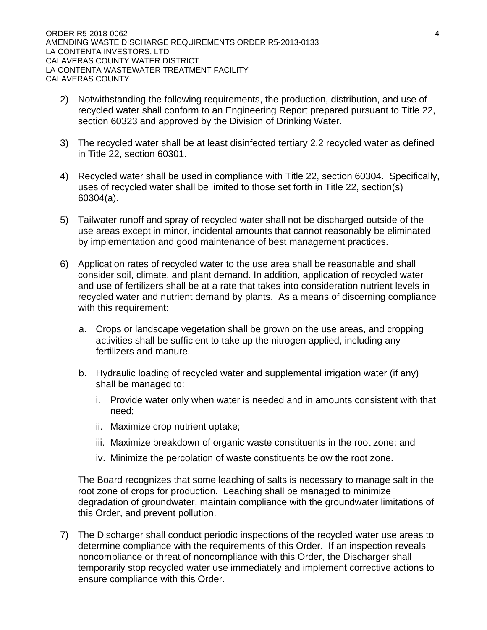- 2) Notwithstanding the following requirements, the production, distribution, and use of recycled water shall conform to an Engineering Report prepared pursuant to Title 22, section 60323 and approved by the Division of Drinking Water.
- 3) The recycled water shall be at least disinfected tertiary 2.2 recycled water as defined in Title 22, section 60301.
- 4) Recycled water shall be used in compliance with Title 22, section 60304. Specifically, uses of recycled water shall be limited to those set forth in Title 22, section(s) 60304(a).
- 5) Tailwater runoff and spray of recycled water shall not be discharged outside of the use areas except in minor, incidental amounts that cannot reasonably be eliminated by implementation and good maintenance of best management practices.
- 6) Application rates of recycled water to the use area shall be reasonable and shall consider soil, climate, and plant demand. In addition, application of recycled water and use of fertilizers shall be at a rate that takes into consideration nutrient levels in recycled water and nutrient demand by plants. As a means of discerning compliance with this requirement:
	- a. Crops or landscape vegetation shall be grown on the use areas, and cropping activities shall be sufficient to take up the nitrogen applied, including any fertilizers and manure.
	- b. Hydraulic loading of recycled water and supplemental irrigation water (if any) shall be managed to:
		- i. Provide water only when water is needed and in amounts consistent with that need;
		- ii. Maximize crop nutrient uptake;
		- iii. Maximize breakdown of organic waste constituents in the root zone; and
		- iv. Minimize the percolation of waste constituents below the root zone.

The Board recognizes that some leaching of salts is necessary to manage salt in the root zone of crops for production. Leaching shall be managed to minimize degradation of groundwater, maintain compliance with the groundwater limitations of this Order, and prevent pollution.

7) The Discharger shall conduct periodic inspections of the recycled water use areas to determine compliance with the requirements of this Order. If an inspection reveals noncompliance or threat of noncompliance with this Order, the Discharger shall temporarily stop recycled water use immediately and implement corrective actions to ensure compliance with this Order.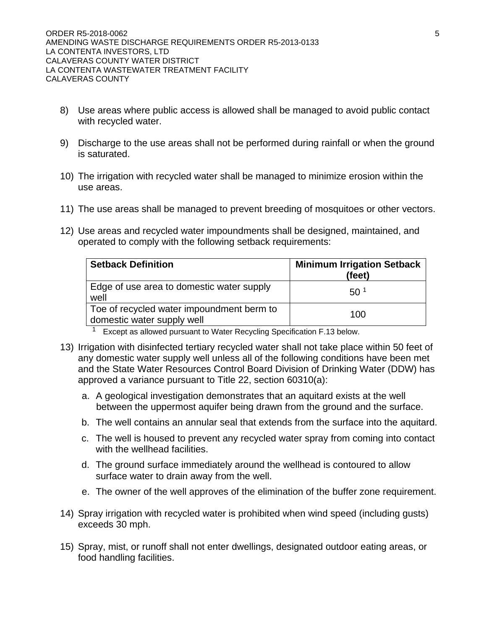- 8) Use areas where public access is allowed shall be managed to avoid public contact with recycled water.
- 9) Discharge to the use areas shall not be performed during rainfall or when the ground is saturated.
- 10) The irrigation with recycled water shall be managed to minimize erosion within the use areas.
- 11) The use areas shall be managed to prevent breeding of mosquitoes or other vectors.
- 12) Use areas and recycled water impoundments shall be designed, maintained, and operated to comply with the following setback requirements:

| <b>Setback Definition</b>                                               | <b>Minimum Irrigation Setback</b><br>(feet) |
|-------------------------------------------------------------------------|---------------------------------------------|
| Edge of use area to domestic water supply<br>well                       | 50 <sup>1</sup>                             |
| Toe of recycled water impoundment berm to<br>domestic water supply well | 100                                         |

 $1$  Except as allowed pursuant to Water Recycling Specification F.13 below.

- 13) Irrigation with disinfected tertiary recycled water shall not take place within 50 feet of any domestic water supply well unless all of the following conditions have been met and the State Water Resources Control Board Division of Drinking Water (DDW) has approved a variance pursuant to Title 22, section 60310(a):
	- a. A geological investigation demonstrates that an aquitard exists at the well between the uppermost aquifer being drawn from the ground and the surface.
	- b. The well contains an annular seal that extends from the surface into the aquitard.
	- c. The well is housed to prevent any recycled water spray from coming into contact with the wellhead facilities.
	- d. The ground surface immediately around the wellhead is contoured to allow surface water to drain away from the well.
	- e. The owner of the well approves of the elimination of the buffer zone requirement.
- 14) Spray irrigation with recycled water is prohibited when wind speed (including gusts) exceeds 30 mph.
- 15) Spray, mist, or runoff shall not enter dwellings, designated outdoor eating areas, or food handling facilities.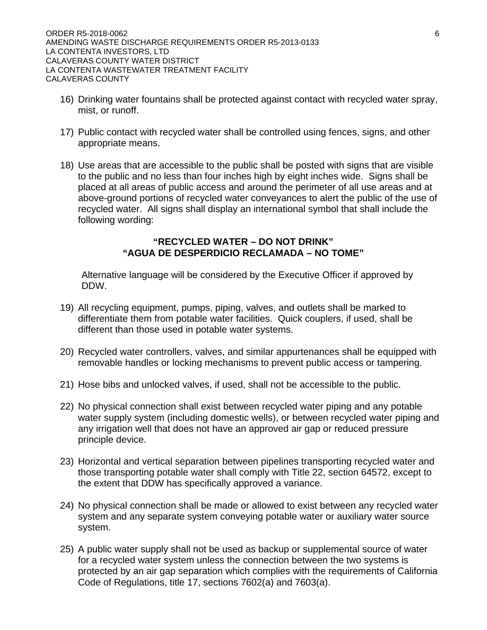- 16) Drinking water fountains shall be protected against contact with recycled water spray, mist, or runoff.
- 17) Public contact with recycled water shall be controlled using fences, signs, and other appropriate means.
- 18) Use areas that are accessible to the public shall be posted with signs that are visible to the public and no less than four inches high by eight inches wide. Signs shall be placed at all areas of public access and around the perimeter of all use areas and at above-ground portions of recycled water conveyances to alert the public of the use of recycled water. All signs shall display an international symbol that shall include the following wording:

#### **"RECYCLED WATER – DO NOT DRINK" "AGUA DE DESPERDICIO RECLAMADA – NO TOME"**

Alternative language will be considered by the Executive Officer if approved by DDW.

- 19) All recycling equipment, pumps, piping, valves, and outlets shall be marked to differentiate them from potable water facilities. Quick couplers, if used, shall be different than those used in potable water systems.
- 20) Recycled water controllers, valves, and similar appurtenances shall be equipped with removable handles or locking mechanisms to prevent public access or tampering.
- 21) Hose bibs and unlocked valves, if used, shall not be accessible to the public.
- 22) No physical connection shall exist between recycled water piping and any potable water supply system (including domestic wells), or between recycled water piping and any irrigation well that does not have an approved air gap or reduced pressure principle device.
- 23) Horizontal and vertical separation between pipelines transporting recycled water and those transporting potable water shall comply with Title 22, section 64572, except to the extent that DDW has specifically approved a variance.
- 24) No physical connection shall be made or allowed to exist between any recycled water system and any separate system conveying potable water or auxiliary water source system.
- 25) A public water supply shall not be used as backup or supplemental source of water for a recycled water system unless the connection between the two systems is protected by an air gap separation which complies with the requirements of California Code of Regulations, title 17, sections 7602(a) and 7603(a).